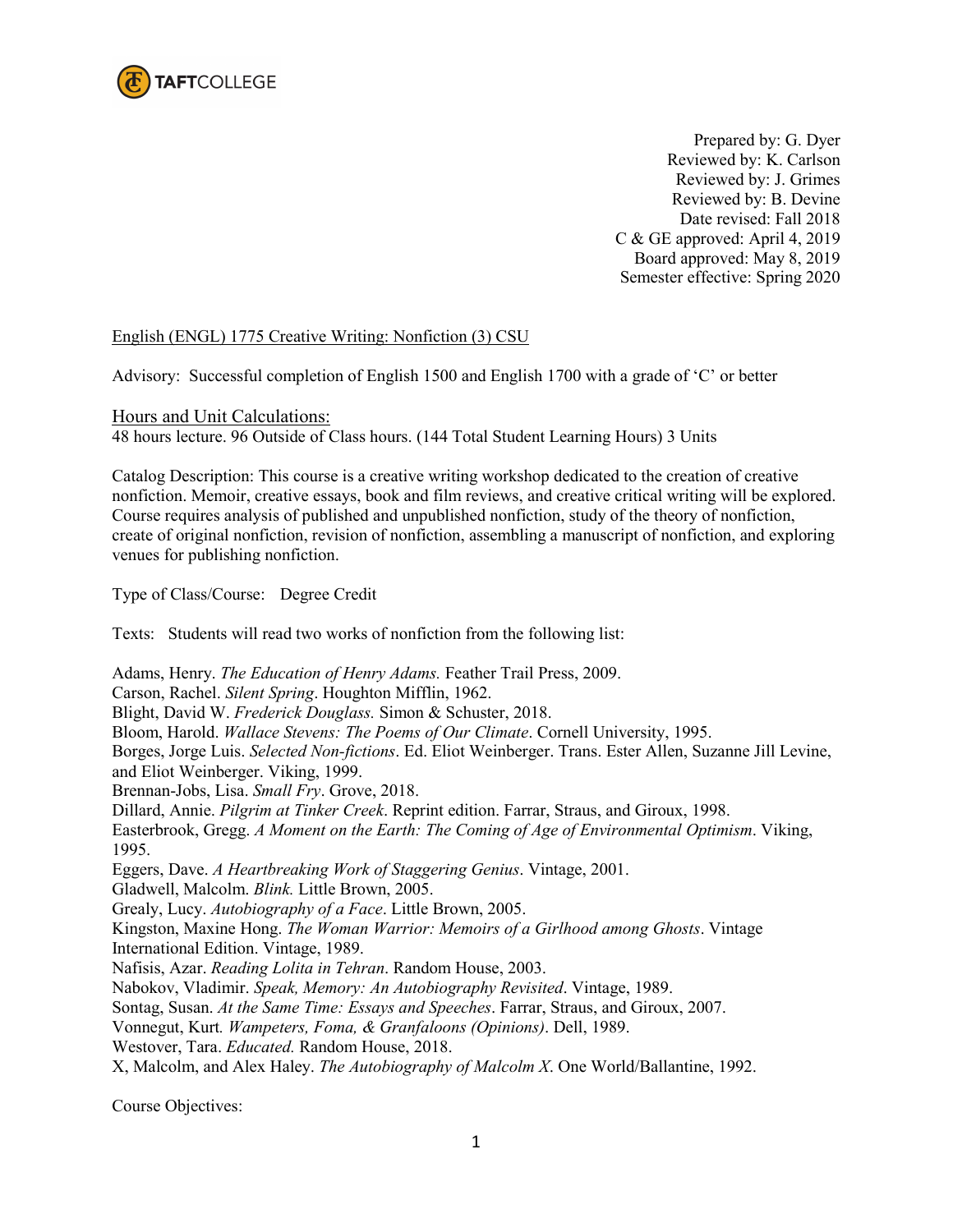

Prepared by: G. Dyer Reviewed by: K. Carlson Reviewed by: J. Grimes Reviewed by: B. Devine Date revised: Fall 2018 C & GE approved: April 4, 2019 Board approved: May 8, 2019 Semester effective: Spring 2020

### English (ENGL) 1775 Creative Writing: Nonfiction (3) CSU

Advisory: Successful completion of English 1500 and English 1700 with a grade of 'C' or better

Hours and Unit Calculations: 48 hours lecture. 96 Outside of Class hours. (144 Total Student Learning Hours) 3 Units

Catalog Description: This course is a creative writing workshop dedicated to the creation of creative nonfiction. Memoir, creative essays, book and film reviews, and creative critical writing will be explored. Course requires analysis of published and unpublished nonfiction, study of the theory of nonfiction, create of original nonfiction, revision of nonfiction, assembling a manuscript of nonfiction, and exploring venues for publishing nonfiction.

Type of Class/Course: Degree Credit

Texts: Students will read two works of nonfiction from the following list:

Adams, Henry. *The Education of Henry Adams.* Feather Trail Press, 2009. Carson, Rachel. *Silent Spring*. Houghton Mifflin, 1962. Blight, David W. *Frederick Douglass.* Simon & Schuster, 2018. Bloom, Harold. *Wallace Stevens: The Poems of Our Climate*. Cornell University, 1995. Borges, Jorge Luis. *Selected Non-fictions*. Ed. Eliot Weinberger. Trans. Ester Allen, Suzanne Jill Levine, and Eliot Weinberger. Viking, 1999. Brennan-Jobs, Lisa. *Small Fry*. Grove, 2018. Dillard, Annie. *Pilgrim at Tinker Creek*. Reprint edition. Farrar, Straus, and Giroux, 1998. Easterbrook, Gregg. *A Moment on the Earth: The Coming of Age of Environmental Optimism*. Viking, 1995. Eggers, Dave. *A Heartbreaking Work of Staggering Genius*. Vintage, 2001. Gladwell, Malcolm. *Blink.* Little Brown, 2005. Grealy, Lucy. *Autobiography of a Face*. Little Brown, 2005. Kingston, Maxine Hong. *The Woman Warrior: Memoirs of a Girlhood among Ghosts*. Vintage International Edition. Vintage, 1989. Nafisis, Azar. *Reading Lolita in Tehran*. Random House, 2003. Nabokov, Vladimir. *Speak, Memory: An Autobiography Revisited*. Vintage, 1989. Sontag, Susan. *At the Same Time: Essays and Speeches*. Farrar, Straus, and Giroux, 2007. Vonnegut, Kurt*. Wampeters, Foma, & Granfaloons (Opinions)*. Dell, 1989. Westover, Tara. *Educated.* Random House, 2018. X, Malcolm, and Alex Haley. *The Autobiography of Malcolm X*. One World/Ballantine, 1992.

Course Objectives: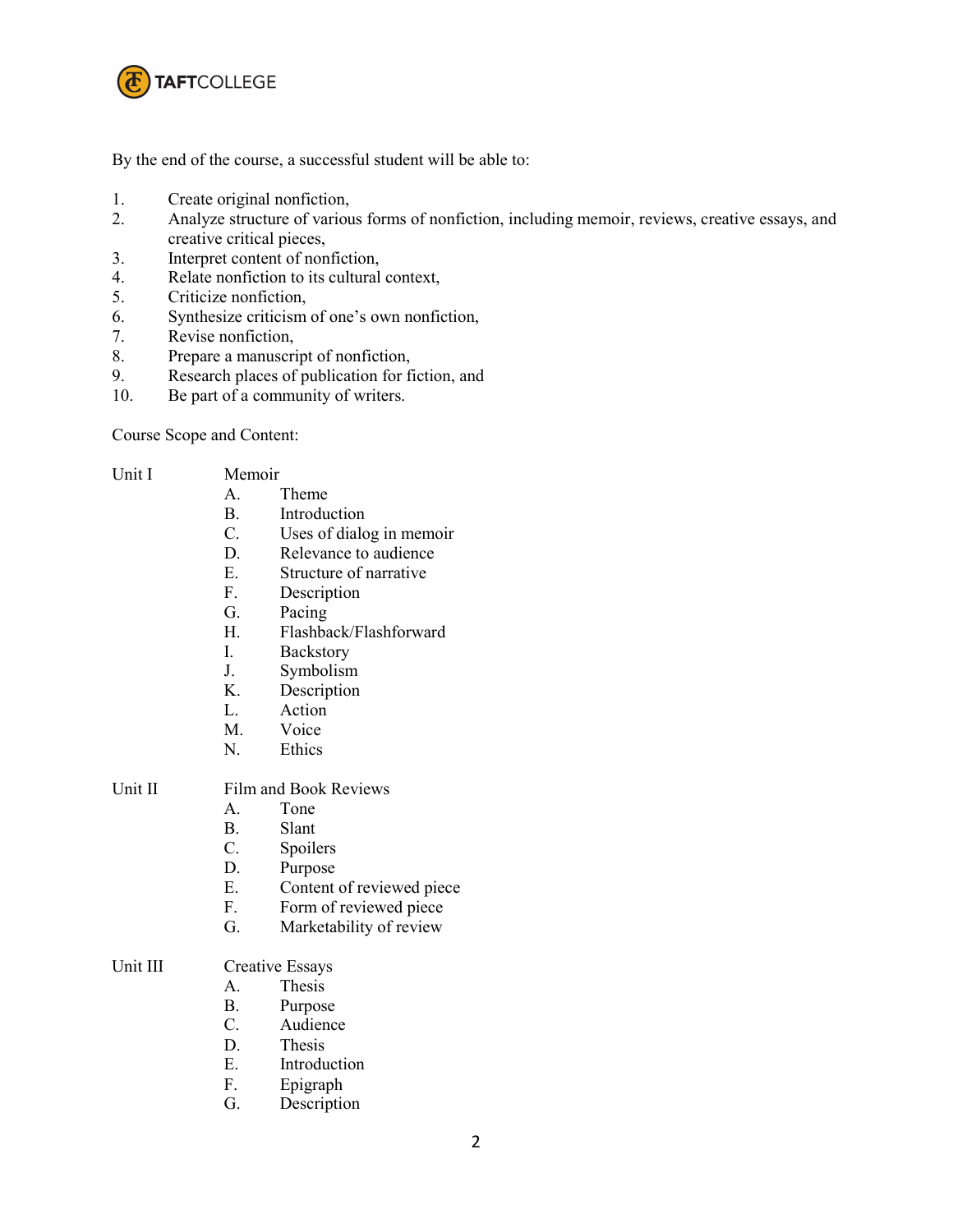

By the end of the course, a successful student will be able to:

- 1. Create original nonfiction,
- 2. Analyze structure of various forms of nonfiction, including memoir, reviews, creative essays, and creative critical pieces,
- 3. Interpret content of nonfiction,
- 4. Relate nonfiction to its cultural context,
- 5. Criticize nonfiction,
- 6. Synthesize criticism of one's own nonfiction,
- Revise nonfiction,
- 8. Prepare a manuscript of nonfiction,
- 9. Research places of publication for fiction, and
- 10. Be part of a community of writers.

Course Scope and Content:

| Unit I | Memoir |
|--------|--------|

# A. Theme

- B. Introduction
- C. Uses of dialog in memoir
- D. Relevance to audience
- E. Structure of narrative
- F. Description
- G. Pacing
- H. Flashback/Flashforward
- I. Backstory
- J. Symbolism
- K. Description
- L. Action
- M. Voice
- N. Ethics

#### Unit II Film and Book Reviews

- A. Tone
- B. Slant
- C. Spoilers
- D. Purpose
- E. Content of reviewed piece<br>F. Form of reviewed piece
- Form of reviewed piece
- G. Marketability of review

#### Unit III Creative Essays

- A. Thesis
- B. Purpose
- C. Audience
- D. Thesis
- E. Introduction
- F. Epigraph
- G. Description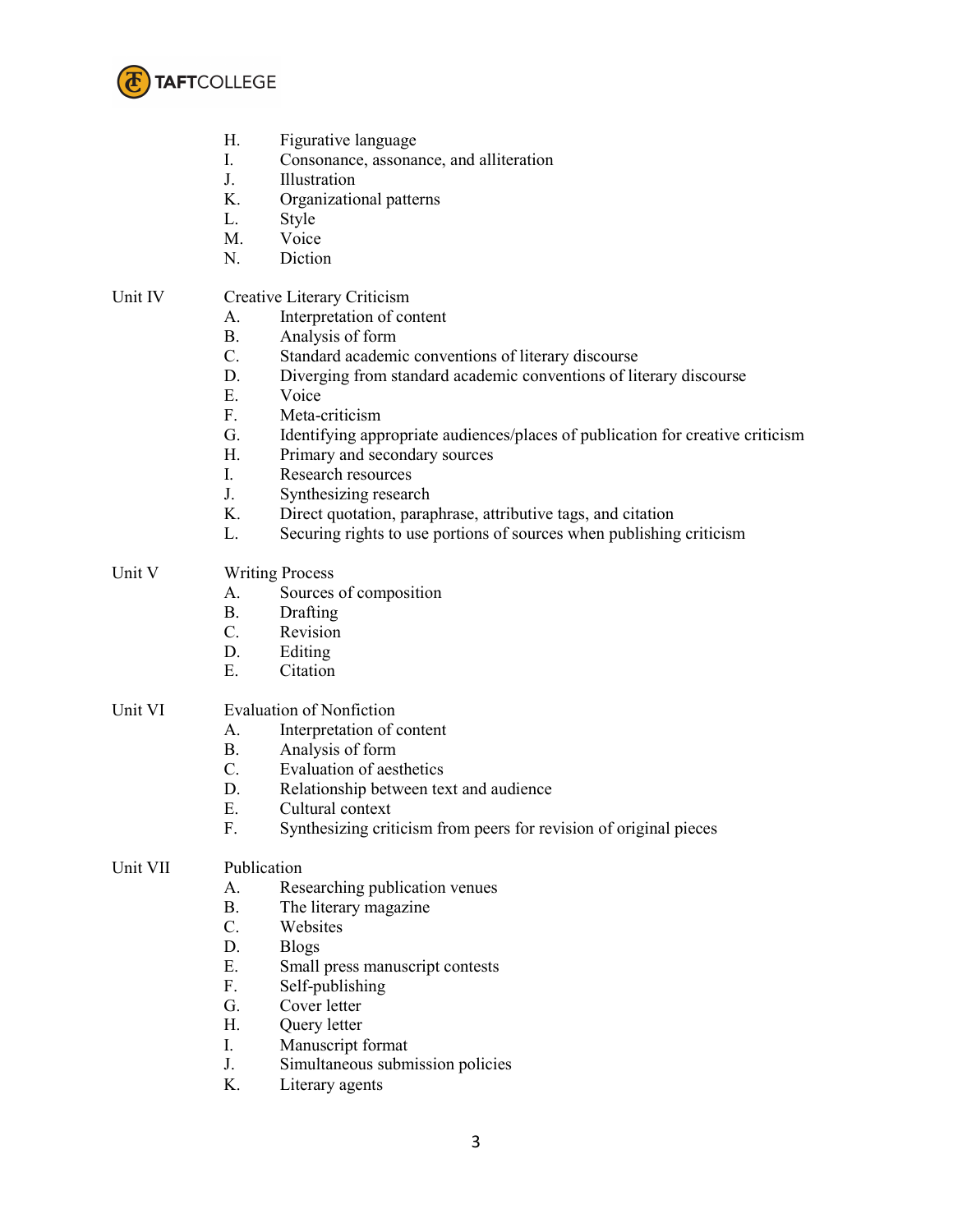

- H. Figurative language
- I. Consonance, assonance, and alliteration
- J. Illustration
- K. Organizational patterns
- L. Style
- M. Voice
- N. Diction

# Unit IV Creative Literary Criticism

- A. Interpretation of content
- B. Analysis of form
- C. Standard academic conventions of literary discourse
- D. Diverging from standard academic conventions of literary discourse
- E. Voice
- F. Meta-criticism
- G. Identifying appropriate audiences/places of publication for creative criticism
- H. Primary and secondary sources
- I. Research resources
- J. Synthesizing research
- K. Direct quotation, paraphrase, attributive tags, and citation
- L. Securing rights to use portions of sources when publishing criticism

# Unit V Writing Process

- A. Sources of composition
- B. Drafting
- C. Revision<br>D. Editing
- **Editing**
- E. Citation

## Unit VI Evaluation of Nonfiction

- A. Interpretation of content
- B. Analysis of form<br>C. Evaluation of aes
- Evaluation of aesthetics
- D. Relationship between text and audience
- E. Cultural context
- F. Synthesizing criticism from peers for revision of original pieces

# Unit VII Publication

- A. Researching publication venues
- B. The literary magazine
- C. Websites
- D. Blogs
- E. Small press manuscript contests
- F. Self-publishing
- G. Cover letter
- H. Query letter
- I. Manuscript format
- J. Simultaneous submission policies
- K. Literary agents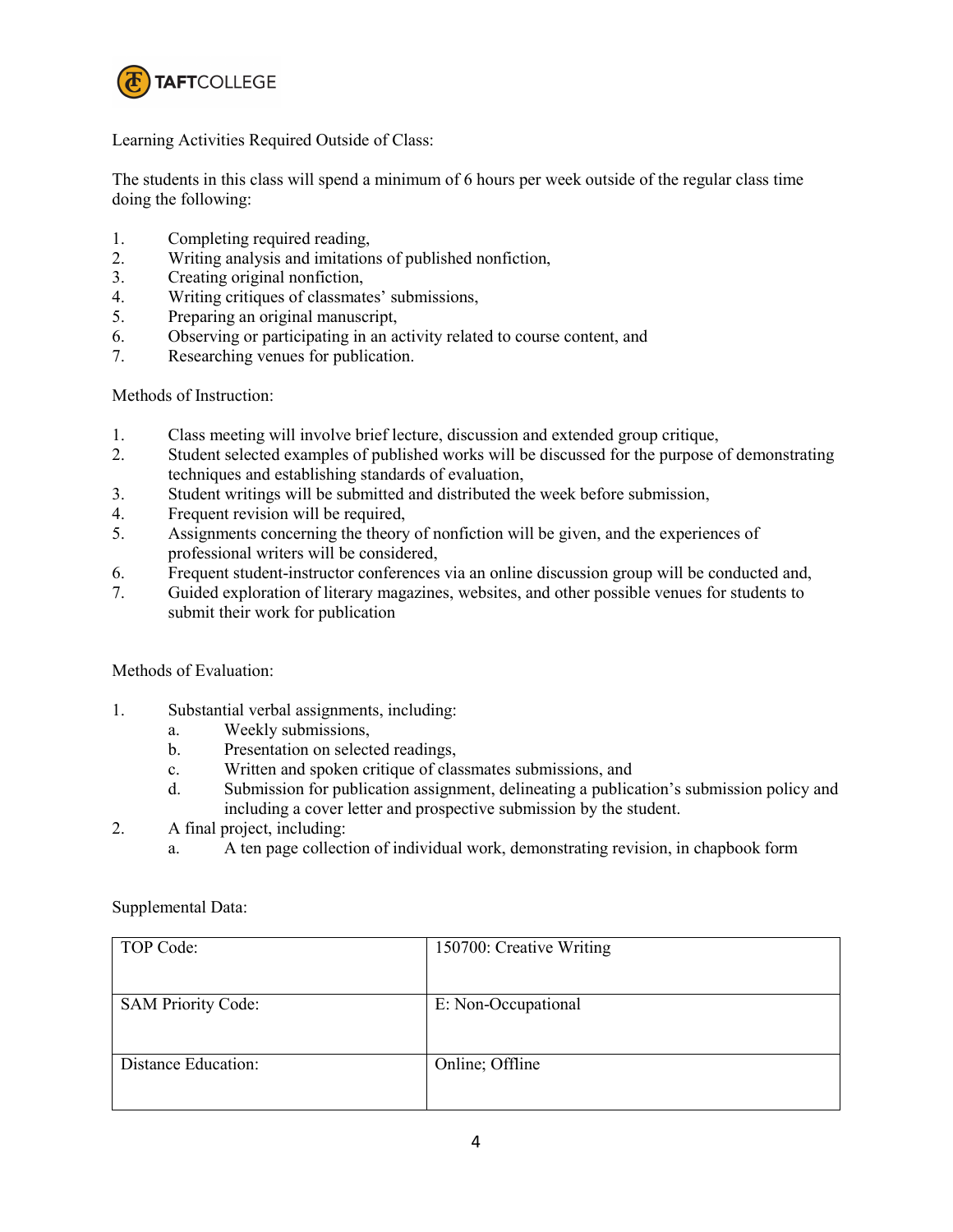

Learning Activities Required Outside of Class:

The students in this class will spend a minimum of 6 hours per week outside of the regular class time doing the following:

- 1. Completing required reading,
- 2. Writing analysis and imitations of published nonfiction,
- 3. Creating original nonfiction,
- 4. Writing critiques of classmates' submissions,
- 5. Preparing an original manuscript,
- 6. Observing or participating in an activity related to course content, and
- 7. Researching venues for publication.

### Methods of Instruction:

- 1. Class meeting will involve brief lecture, discussion and extended group critique,
- 2. Student selected examples of published works will be discussed for the purpose of demonstrating techniques and establishing standards of evaluation,
- 3. Student writings will be submitted and distributed the week before submission,
- 4. Frequent revision will be required,
- 5. Assignments concerning the theory of nonfiction will be given, and the experiences of professional writers will be considered,
- 6. Frequent student-instructor conferences via an online discussion group will be conducted and,
- 7. Guided exploration of literary magazines, websites, and other possible venues for students to submit their work for publication

### Methods of Evaluation:

- 1. Substantial verbal assignments, including:
	- a. Weekly submissions,
	- b. Presentation on selected readings,
	- c. Written and spoken critique of classmates submissions, and
	- d. Submission for publication assignment, delineating a publication's submission policy and including a cover letter and prospective submission by the student.
- 2. A final project, including:
	- a. A ten page collection of individual work, demonstrating revision, in chapbook form

| TOP Code:                 | 150700: Creative Writing |
|---------------------------|--------------------------|
| <b>SAM Priority Code:</b> | E: Non-Occupational      |
| Distance Education:       | Online; Offline          |

Supplemental Data: